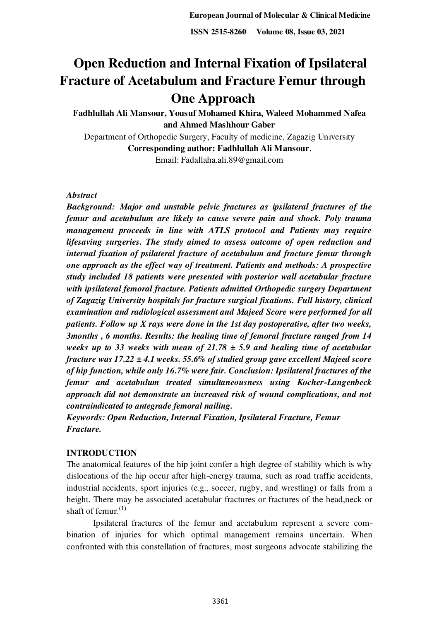# **Open Reduction and Internal Fixation of Ipsilateral Fracture of Acetabulum and Fracture Femur through One Approach**

**Fadhlullah Ali Mansour, Yousuf Mohamed Khira, Waleed Mohammed Nafea and Ahmed Mashhour Gaber** 

Department of Orthopedic Surgery, Faculty of medicine, Zagazig University **Corresponding author: Fadhlullah Ali Mansour**, Email: Fadallaha.ali.89@gmail.com

# *Abstract*

*Background: Major and unstable pelvic fractures as ipsilateral fractures of the femur and acetabulum are likely to cause severe pain and shock. Poly trauma management proceeds in line with ATLS protocol and Patients may require lifesaving surgeries. The study aimed to assess outcome of open reduction and internal fixation of psilateral fracture of acetabulum and fracture femur through one approach as the effect way of treatment. Patients and methods: A prospective study included 18 patients were presented with posterior wall acetabular fracture with ipsilateral femoral fracture. Patients admitted Orthopedic surgery Department of Zagazig University hospitals for fracture surgical fixations. Full history, clinical examination and radiological assessment and Majeed Score were performed for all patients. Follow up X rays were done in the 1st day postoperative, after two weeks, 3months , 6 months. Results: the healing time of femoral fracture ranged from 14 weeks up to 33 weeks with mean of 21.78 ± 5.9 and healing time of acetabular fracture was 17.22 ± 4.1 weeks. 55.6% of studied group gave excellent Majeed score of hip function, while only 16.7% were fair. Conclusion: Ipsilateral fractures of the femur and acetabulum treated simultaneousness using Kocher-Langenbeck approach did not demonstrate an increased risk of wound complications, and not contraindicated to antegrade femoral nailing.* 

*Keywords: Open Reduction, Internal Fixation, Ipsilateral Fracture, Femur Fracture.* 

# **INTRODUCTION**

The anatomical features of the hip joint confer a high degree of stability which is why dislocations of the hip occur after high-energy trauma, such as road traffic accidents, industrial accidents, sport injuries (e.g., soccer, rugby, and wrestling) or falls from a height. There may be associated acetabular fractures or fractures of the head,neck or shaft of femur. $(1)$ 

Ipsilateral fractures of the femur and acetabulum represent a severe combination of injuries for which optimal management remains uncertain. When confronted with this constellation of fractures, most surgeons advocate stabilizing the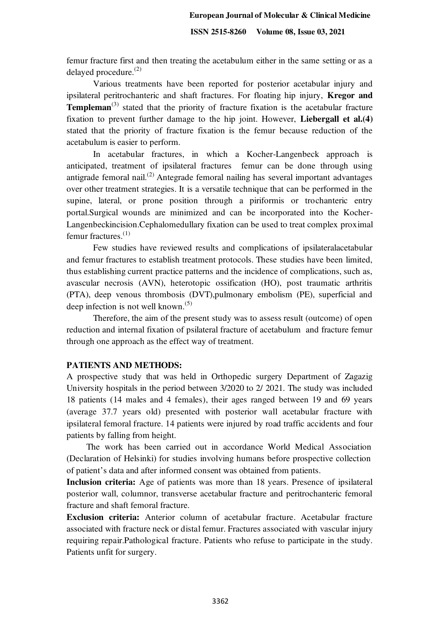femur fracture first and then treating the acetabulum either in the same setting or as a delayed procedure.(2)

Various treatments have been reported for posterior acetabular injury and ipsilateral peritrochanteric and shaft fractures. For floating hip injury, **Kregor and Templeman**<sup>(3)</sup> stated that the priority of fracture fixation is the acetabular fracture fixation to prevent further damage to the hip joint. However, **Liebergall et al.(4)**  stated that the priority of fracture fixation is the femur because reduction of the acetabulum is easier to perform.

In acetabular fractures, in which a Kocher-Langenbeck approach is anticipated, treatment of ipsilateral fractures femur can be done through using antigrade femoral nail.<sup>(2)</sup> Antegrade femoral nailing has several important advantages over other treatment strategies. It is a versatile technique that can be performed in the supine, lateral, or prone position through a piriformis or trochanteric entry portal.Surgical wounds are minimized and can be incorporated into the Kocher-Langenbeckincision.Cephalomedullary fixation can be used to treat complex proximal femur fractures.(1)

Few studies have reviewed results and complications of ipsilateralacetabular and femur fractures to establish treatment protocols. These studies have been limited, thus establishing current practice patterns and the incidence of complications, such as, avascular necrosis (AVN), heterotopic ossification (HO), post traumatic arthritis (PTA), deep venous thrombosis (DVT),pulmonary embolism (PE), superficial and deep infection is not well known.<sup> $(5)$ </sup>

Therefore, the aim of the present study was to assess result (outcome) of open reduction and internal fixation of psilateral fracture of acetabulum and fracture femur through one approach as the effect way of treatment.

## **PATIENTS AND METHODS:**

A prospective study that was held in Orthopedic surgery Department of Zagazig University hospitals in the period between 3/2020 to 2/ 2021. The study was included 18 patients (14 males and 4 females), their ages ranged between 19 and 69 years (average 37.7 years old) presented with posterior wall acetabular fracture with ipsilateral femoral fracture. 14 patients were injured by road traffic accidents and four patients by falling from height.

The work has been carried out in accordance World Medical Association (Declaration of Helsinki) for studies involving humans before prospective collection of patient's data and after informed consent was obtained from patients.

**Inclusion criteria:** Age of patients was more than 18 years. Presence of ipsilateral posterior wall, columnor, transverse acetabular fracture and peritrochanteric femoral fracture and shaft femoral fracture.

**Exclusion criteria:** Anterior column of acetabular fracture. Acetabular fracture associated with fracture neck or distal femur. Fractures associated with vascular injury requiring repair.Pathological fracture. Patients who refuse to participate in the study. Patients unfit for surgery.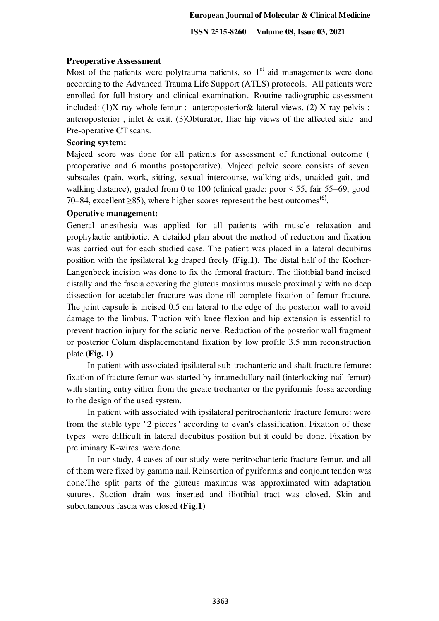#### **European Journal of Molecular & Clinical Medicine**

 **ISSN 2515-8260 Volume 08, Issue 03, 2021**

# **Preoperative Assessment**

Most of the patients were polytrauma patients, so  $1<sup>st</sup>$  aid managements were done according to the Advanced Trauma Life Support (ATLS) protocols. All patients were enrolled for full history and clinical examination. Routine radiographic assessment included: (1)X ray whole femur :- anteroposterior & lateral views. (2) X ray pelvis :anteroposterior, inlet  $\&$  exit. (3)Obturator, Iliac hip views of the affected side and Pre-operative CT scans.

# **Scoring system:**

Majeed score was done for all patients for assessment of functional outcome ( preoperative and 6 months postoperative). Majeed pelvic score consists of seven subscales (pain, work, sitting, sexual intercourse, walking aids, unaided gait, and walking distance), graded from 0 to 100 (clinical grade: poor  $\leq$  55, fair 55–69, good 70–84, excellent  $\geq$ 85), where higher scores represent the best outcomes<sup>(6)</sup>.

## **Operative management:**

General anesthesia was applied for all patients with muscle relaxation and prophylactic antibiotic. A detailed plan about the method of reduction and fixation was carried out for each studied case. The patient was placed in a lateral decubitus position with the ipsilateral leg draped freely **(Fig.1)**. The distal half of the Kocher-Langenbeck incision was done to fix the femoral fracture. The iliotibial band incised distally and the fascia covering the gluteus maximus muscle proximally with no deep dissection for acetabaler fracture was done till complete fixation of femur fracture. The joint capsule is incised 0.5 cm lateral to the edge of the posterior wall to avoid damage to the limbus. Traction with knee flexion and hip extension is essential to prevent traction injury for the sciatic nerve. Reduction of the posterior wall fragment or posterior Colum displacementand fixation by low profile 3.5 mm reconstruction plate **(Fig. 1)**.

In patient with associated ipsilateral sub-trochanteric and shaft fracture femure: fixation of fracture femur was started by inramedullary nail (interlocking nail femur) with starting entry either from the greate trochanter or the pyriformis fossa according to the design of the used system.

In patient with associated with ipsilateral peritrochanteric fracture femure: were from the stable type "2 pieces" according to evan's classification. Fixation of these types were difficult in lateral decubitus position but it could be done. Fixation by preliminary K-wires were done.

In our study, 4 cases of our study were peritrochanteric fracture femur, and all of them were fixed by gamma nail. Reinsertion of pyriformis and conjoint tendon was done.The split parts of the gluteus maximus was approximated with adaptation sutures. Suction drain was inserted and iliotibial tract was closed. Skin and subcutaneous fascia was closed **(Fig.1)**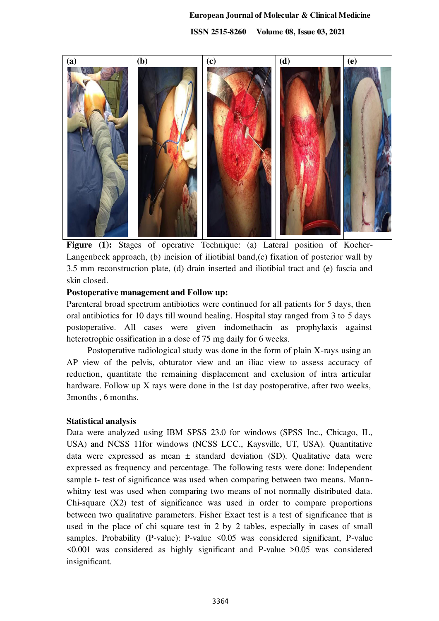#### **European Journal of Molecular & Clinical Medicine**

 **ISSN 2515-8260 Volume 08, Issue 03, 2021**



**Figure (1):** Stages of operative Technique: (a) Lateral position of Kocher-Langenbeck approach, (b) incision of iliotibial band,(c) fixation of posterior wall by 3.5 mm reconstruction plate, (d) drain inserted and iliotibial tract and (e) fascia and skin closed.

#### **Postoperative management and Follow up:**

Parenteral broad spectrum antibiotics were continued for all patients for 5 days, then oral antibiotics for 10 days till wound healing. Hospital stay ranged from 3 to 5 days postoperative. All cases were given indomethacin as prophylaxis against heterotrophic ossification in a dose of 75 mg daily for 6 weeks.

Postoperative radiological study was done in the form of plain X-rays using an AP view of the pelvis, obturator view and an iliac view to assess accuracy of reduction, quantitate the remaining displacement and exclusion of intra articular hardware. Follow up X rays were done in the 1st day postoperative, after two weeks, 3months , 6 months.

#### **Statistical analysis**

Data were analyzed using IBM SPSS 23.0 for windows (SPSS Inc., Chicago, IL, USA) and NCSS 11for windows (NCSS LCC., Kaysville, UT, USA). Quantitative data were expressed as mean  $\pm$  standard deviation (SD). Qualitative data were expressed as frequency and percentage. The following tests were done: Independent sample t- test of significance was used when comparing between two means. Mannwhitny test was used when comparing two means of not normally distributed data. Chi-square (X2) test of significance was used in order to compare proportions between two qualitative parameters. Fisher Exact test is a test of significance that is used in the place of chi square test in 2 by 2 tables, especially in cases of small samples. Probability (P-value): P-value <0.05 was considered significant, P-value <0.001 was considered as highly significant and P-value >0.05 was considered insignificant.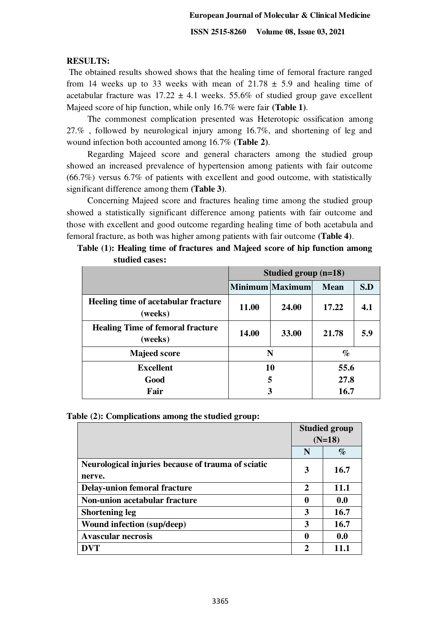# **RESULTS:**

The obtained results showed shows that the healing time of femoral fracture ranged from 14 weeks up to 33 weeks with mean of  $21.78 \pm 5.9$  and healing time of acetabular fracture was  $17.22 \pm 4.1$  weeks. 55.6% of studied group gave excellent Majeed score of hip function, while only 16.7% were fair **(Table 1)**.

The commonest complication presented was Heterotopic ossification among 27.% , followed by neurological injury among 16.7%, and shortening of leg and wound infection both accounted among 16.7% **(Table 2)**.

Regarding Majeed score and general characters among the studied group showed an increased prevalence of hypertension among patients with fair outcome (66.7%) versus 6.7% of patients with excellent and good outcome, with statistically significant difference among them **(Table 3)**.

Concerning Majeed score and fractures healing time among the studied group showed a statistically significant difference among patients with fair outcome and those with excellent and good outcome regarding healing time of both acetabula and femoral fracture, as both was higher among patients with fair outcome **(Table 4)**.

|                                                    | Studied group $(n=18)$ |                 |             |     |
|----------------------------------------------------|------------------------|-----------------|-------------|-----|
|                                                    |                        | Minimum Maximum | <b>Mean</b> | S.D |
| Heeling time of acetabular fracture<br>(weeks)     | 11.00                  | 24.00           | 17.22       |     |
| <b>Healing Time of femoral fracture</b><br>(weeks) | 14.00                  | 33.00           | 21.78       | 5.9 |
| <b>Majeed score</b>                                | N                      |                 | $\%$        |     |
| <b>Excellent</b>                                   | 10                     |                 | 55.6        |     |
| Good                                               | 5                      |                 | 27.8        |     |
| Fair                                               | 3                      |                 | 16.7        |     |

| Table (1): Healing time of fractures and Majeed score of hip function among |  |  |
|-----------------------------------------------------------------------------|--|--|
| studied cases:                                                              |  |  |

|  |  |  | Table (2): Complications among the studied group: |
|--|--|--|---------------------------------------------------|
|--|--|--|---------------------------------------------------|

|                                                              | <b>Studied group</b><br>$(N=18)$ |             |
|--------------------------------------------------------------|----------------------------------|-------------|
|                                                              |                                  |             |
|                                                              | N                                | $\%$        |
| Neurological injuries because of trauma of sciatic<br>nerve. | 3                                | 16.7        |
| <b>Delay-union femoral fracture</b>                          | 2                                | <b>11.1</b> |
| Non-union acetabular fracture                                | 0                                | 0.0         |
| <b>Shortening leg</b>                                        | 3                                | 16.7        |
| <b>Wound infection (sup/deep)</b>                            | 3                                | 16.7        |
| <b>Avascular necrosis</b>                                    | 0                                | 0.0         |
|                                                              | 2                                | 11.1        |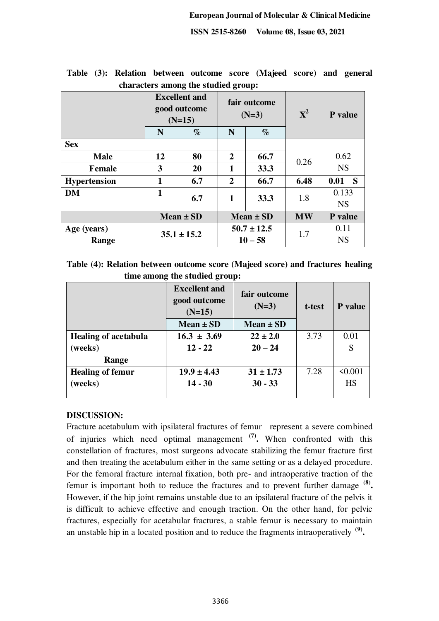|                      | N             | <b>Excellent and</b><br>good outcome<br>$(N=15)$<br>$\%$ | fair outcome<br>$(N=3)$<br>$\%$<br>N |               | ${\bf X}^2$ | P value              |  |
|----------------------|---------------|----------------------------------------------------------|--------------------------------------|---------------|-------------|----------------------|--|
| <b>Sex</b>           |               |                                                          |                                      |               |             |                      |  |
| <b>Male</b>          | 12            | 80                                                       | $\overline{2}$                       | 66.7          |             | 0.62                 |  |
| <b>Female</b>        | 3             | 20                                                       | $\mathbf{1}$                         | 33.3          | 0.26        | <b>NS</b>            |  |
| <b>Hypertension</b>  | $\mathbf{1}$  | 6.7                                                      | $\overline{2}$                       | 66.7          | 6.48        | 0.01<br><sub>S</sub> |  |
| <b>DM</b>            | $\mathbf{1}$  | 6.7                                                      | 1                                    | 33.3          | 1.8         | 0.133<br><b>NS</b>   |  |
|                      | $Mean \pm SD$ |                                                          |                                      | $Mean \pm SD$ | <b>MW</b>   | P value              |  |
| Age (years)<br>Range |               | $35.1 \pm 15.2$                                          | $50.7 \pm 12.5$<br>$10 - 58$         |               | 1.7         | 0.11<br><b>NS</b>    |  |

**Table (3): Relation between outcome score (Majeed score) and general characters among the studied group:** 

**Table (4): Relation between outcome score (Majeed score) and fractures healing time among the studied group:**

|                             | <b>Excellent and</b><br>good outcome<br>$(N=15)$ | fair outcome<br>$(N=3)$ | t-test | P value   |
|-----------------------------|--------------------------------------------------|-------------------------|--------|-----------|
|                             | Mean $\pm$ SD                                    | $Mean \pm SD$           |        |           |
| <b>Healing of acetabula</b> | $16.3 \pm 3.69$                                  | $22 \pm 2.0$            | 3.73   | 0.01      |
| (weeks)                     | $12 - 22$                                        | $20 - 24$               |        | S         |
| Range                       |                                                  |                         |        |           |
| <b>Healing of femur</b>     | $19.9 \pm 4.43$                                  | $31 \pm 1.73$           | 7.28   | < 0.001   |
| (weeks)                     | $14 - 30$                                        | $30 - 33$               |        | <b>HS</b> |
|                             |                                                  |                         |        |           |

# **DISCUSSION:**

Fracture acetabulum with ipsilateral fractures of femur represent a severe combined of injuries which need optimal management **(7) .** When confronted with this constellation of fractures, most surgeons advocate stabilizing the femur fracture first and then treating the acetabulum either in the same setting or as a delayed procedure. For the femoral fracture internal fixation, both pre- and intraoperative traction of the femur is important both to reduce the fractures and to prevent further damage **(8) .** However, if the hip joint remains unstable due to an ipsilateral fracture of the pelvis it is difficult to achieve effective and enough traction. On the other hand, for pelvic fractures, especially for acetabular fractures, a stable femur is necessary to maintain an unstable hip in a located position and to reduce the fragments intraoperatively **(9) .**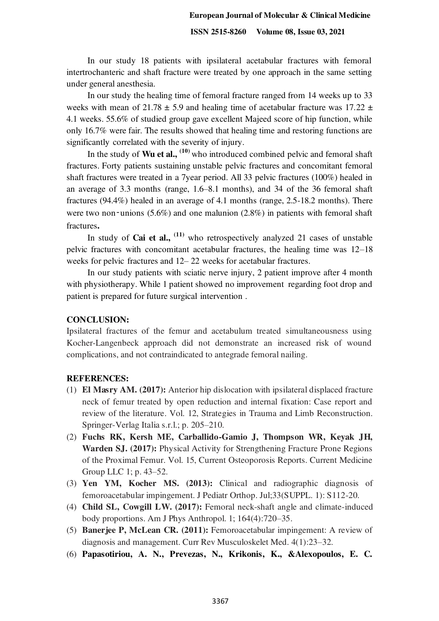#### **European Journal of Molecular & Clinical Medicine**

#### **ISSN 2515-8260 Volume 08, Issue 03, 2021**

In our study 18 patients with ipsilateral acetabular fractures with femoral intertrochanteric and shaft fracture were treated by one approach in the same setting under general anesthesia.

In our study the healing time of femoral fracture ranged from 14 weeks up to 33 weeks with mean of 21.78  $\pm$  5.9 and healing time of acetabular fracture was 17.22  $\pm$ 4.1 weeks. 55.6% of studied group gave excellent Majeed score of hip function, while only 16.7% were fair. The results showed that healing time and restoring functions are significantly correlated with the severity of injury.

In the study of **Wu et al.,**  $(10)$  who introduced combined pelvic and femoral shaft fractures. Forty patients sustaining unstable pelvic fractures and concomitant femoral shaft fractures were treated in a 7year period. All 33 pelvic fractures (100%) healed in an average of 3.3 months (range, 1.6–8.1 months), and 34 of the 36 femoral shaft fractures (94.4%) healed in an average of 4.1 months (range, 2.5-18.2 months). There were two non-unions  $(5.6\%)$  and one malunion  $(2.8\%)$  in patients with femoral shaft fractures**.**

In study of **Cai et al.**, <sup>(11)</sup> who retrospectively analyzed 21 cases of unstable pelvic fractures with concomitant acetabular fractures, the healing time was 12–18 weeks for pelvic fractures and 12– 22 weeks for acetabular fractures.

In our study patients with sciatic nerve injury, 2 patient improve after 4 month with physiotherapy. While 1 patient showed no improvement regarding foot drop and patient is prepared for future surgical intervention .

# **CONCLUSION:**

Ipsilateral fractures of the femur and acetabulum treated simultaneousness using Kocher-Langenbeck approach did not demonstrate an increased risk of wound complications, and not contraindicated to antegrade femoral nailing.

### **REFERENCES:**

- (1) **El Masry AM. (2017):** Anterior hip dislocation with ipsilateral displaced fracture neck of femur treated by open reduction and internal fixation: Case report and review of the literature. Vol. 12, Strategies in Trauma and Limb Reconstruction. Springer-Verlag Italia s.r.l.; p. 205–210.
- (2) **Fuchs RK, Kersh ME, Carballido-Gamio J, Thompson WR, Keyak JH, Warden SJ. (2017):** Physical Activity for Strengthening Fracture Prone Regions of the Proximal Femur. Vol. 15, Current Osteoporosis Reports. Current Medicine Group LLC 1; p. 43–52.
- (3) **Yen YM, Kocher MS. (2013):** Clinical and radiographic diagnosis of femoroacetabular impingement. J Pediatr Orthop. Jul;33(SUPPL. 1): S112-20.
- (4) **Child SL, Cowgill LW. (2017):** Femoral neck-shaft angle and climate-induced body proportions. Am J Phys Anthropol. 1; 164(4):720–35.
- (5) **Banerjee P, McLean CR. (2011):** Femoroacetabular impingement: A review of diagnosis and management. Curr Rev Musculoskelet Med. 4(1):23–32.
- (6) **Papasotiriou, A. N., Prevezas, N., Krikonis, K., &Alexopoulos, E. C.**